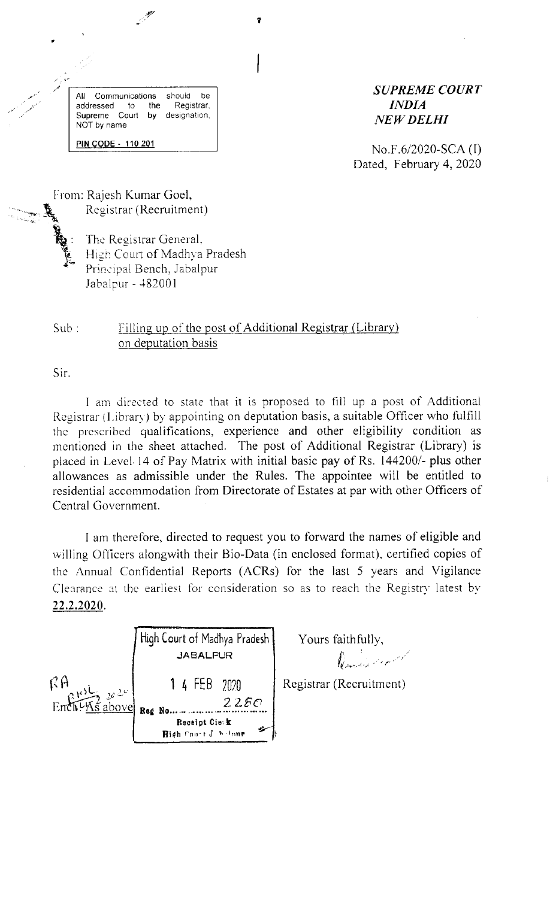All Communications should be addressed to the Registrar, Supreme Court by designation, NOT by name PIN CODE - 110 201

#### **SUPREME COURT INDIA NEW DELHI**

No.F.6/2020-SCA (I) Dated, February 4, 2020

From: Rajesh Kumar Goel, Registrar (Recruitment)



The Registrar General. High Court of Madhya Pradesh Principal Bench, Jabalpur Jabalpur - 482001

#### Filling up of the post of Additional Registrar (Library)  $Sub:$ on deputation basis

Sir.

I am directed to state that it is proposed to fill up a post of Additional Registrar (Library) by appointing on deputation basis, a suitable Officer who fulfill the prescribed qualifications, experience and other eligibility condition as mentioned in the sheet attached. The post of Additional Registrar (Library) is placed in Level 14 of Pay Matrix with initial basic pay of Rs. 144200/- plus other allowances as admissible under the Rules. The appointee will be entitled to residential accommodation from Directorate of Estates at par with other Officers of Central Government.

I am therefore, directed to request you to forward the names of eligible and willing Officers alongwith their Bio-Data (in enclosed format), certified copies of the Annual Confidential Reports (ACRs) for the last 5 years and Vigilance Clearance at the earliest for consideration so as to reach the Registry latest by 22.2.2020.

|                                                                                                                              | High Court of Madhya Pradesh<br>JABALPUR |  |  |
|------------------------------------------------------------------------------------------------------------------------------|------------------------------------------|--|--|
| $R$ A $\mu$ <sup>143</sup> $\mu$ <sub>24</sub><br>Ench $\frac{1}{2}$ $\frac{1}{2}$ $\frac{1}{2}$ $\frac{1}{2}$ $\frac{1}{2}$ | 1 4 FEB 2020<br>225C<br>Red No           |  |  |
|                                                                                                                              | Receipt Cie: k<br>High Court J. holnur   |  |  |

Yours faithfully,

Daniel Could

Registrar (Recruitment)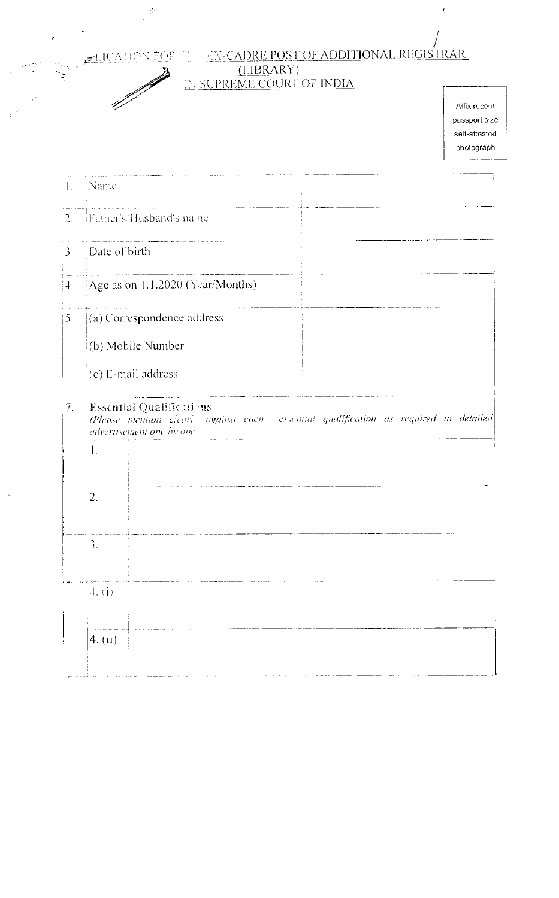FLICATION FOR TH

D

 $\mathbf{A}$ 

 $\tilde{\mathcal{P}}$ 

 $\ddot{\phantom{0}}$ 

# $\frac{1}{2}$  TX-CADRE POST OF ADDITIONAL REGISTRARIER (LIBRARY) IN SUPREME COURT OF INDIA

Affix recent passport size self-attested photograph

 $\bar{t}$ 

| . 1.           | - Name                                                                                                                                                            |
|----------------|-------------------------------------------------------------------------------------------------------------------------------------------------------------------|
| $\mathbb{L}$ . | <b>Father's/Husband's name</b>                                                                                                                                    |
| ¦3.,           | Date of birth                                                                                                                                                     |
| $ 4\rangle$    | Age as on 1.1.2020 (Year/Months)                                                                                                                                  |
| 5.             | (a) Correspondence address<br>(b) Mobile Number<br>(c) E-mail address                                                                                             |
| 7.             | Essential Qualifications<br>$\langle$ Please mention elearly against each essential qualification as required in detailed<br>advertisement one by one<br>1.<br>2. |
|                | $\mathbf{3}$ .<br>4. (i)                                                                                                                                          |
|                | 4. (ii)                                                                                                                                                           |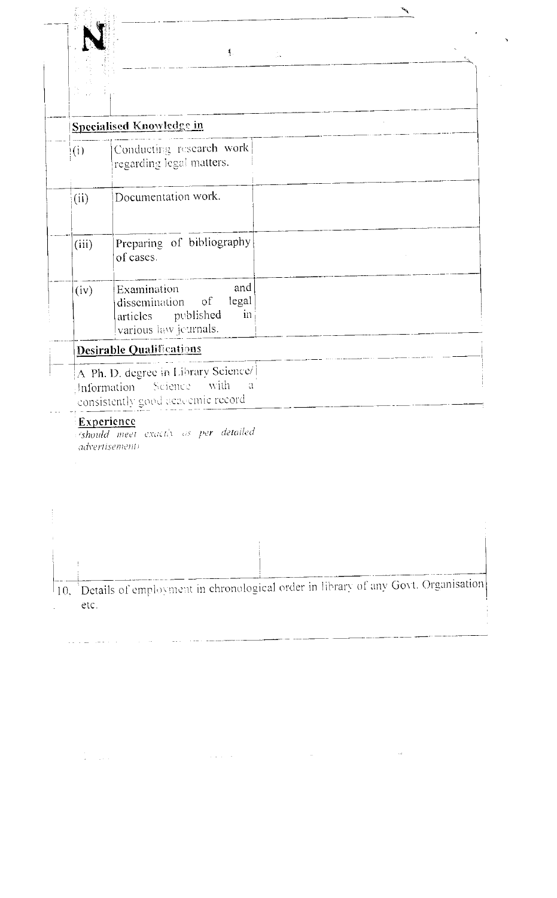|                          | Specialised Knowledge in                                                                             |  |
|--------------------------|------------------------------------------------------------------------------------------------------|--|
| $\mathbf{i}(\mathbf{i})$ | Conducting research work<br>regarding legal matters.                                                 |  |
| (ii)                     | Documentation work.                                                                                  |  |
| (iii)                    | Preparing of bibliography<br>of cases.                                                               |  |
| (iv)                     | and<br>Examination<br>dissemination of<br>legal<br>in<br>articles published<br>various law jeurnals. |  |

 $\left| \begin{array}{c} A \end{array} \right|$  Ph. D. degree in Library Science/ Information Science with  $\alpha$ consistently good acacemic record

#### Experience

 $\frac{1}{2}$  ,  $\frac{1}{2}$  ,  $\frac{1}{2}$  ,  $\frac{1}{2}$  ,  $\frac{1}{2}$  ,  $\frac{1}{2}$  ,  $\frac{1}{2}$ 

should meet exactly as per detailed advertisement)

10, Details of employment in chronological order in library of any Govt. Organisation etc. l,

 $\hat{\mathcal{L}}$  , and  $\hat{\mathcal{L}}$  , and  $\hat{\mathcal{L}}$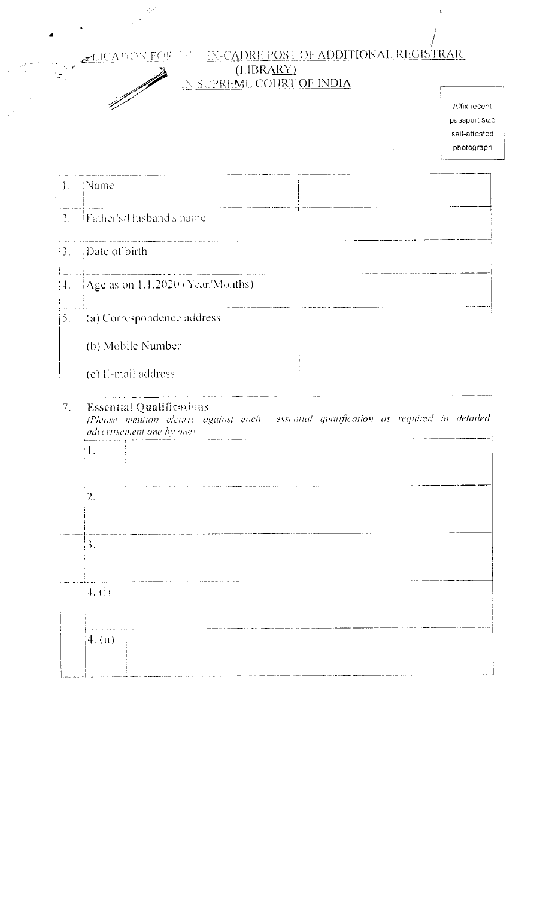4

 $\frac{1}{\sqrt{2}}$ 

 $\mathcal{L}_{\mathcal{P}}$ 

 $\ddot{\phantom{a}}$ 

### ELICATION FOR THE EN-CADRE POST OF ADDITIONAL REGISTRAR  $(IIBRARY)$

## IN SUPREME COURT OF INDIA

Affix recent passport size self-attested photograph

 $\bar{t}$ 

|                      | 1. Name                                                                                                                                       |  |  |  |  |  |
|----------------------|-----------------------------------------------------------------------------------------------------------------------------------------------|--|--|--|--|--|
|                      | $\frac{1}{2}$ . Father's/Husband's name                                                                                                       |  |  |  |  |  |
| 3.                   | Date of birth                                                                                                                                 |  |  |  |  |  |
| :4.                  | Age as on 1.1.2020 (Year/Months)                                                                                                              |  |  |  |  |  |
| 5.                   | (a) Correspondence address                                                                                                                    |  |  |  |  |  |
|                      | (b) Mobile Number                                                                                                                             |  |  |  |  |  |
|                      | $(c)$ E-mail address                                                                                                                          |  |  |  |  |  |
| $\langle 7, \rangle$ | Essential Qualifications<br>(Please mention clearly against each essential qualification as required in detailed<br>advertisement one by one) |  |  |  |  |  |
|                      | $\mathbf{l}$ .                                                                                                                                |  |  |  |  |  |
|                      | 2.                                                                                                                                            |  |  |  |  |  |
|                      | 3.                                                                                                                                            |  |  |  |  |  |
|                      | 4. (i)                                                                                                                                        |  |  |  |  |  |
|                      | 4. (ii)                                                                                                                                       |  |  |  |  |  |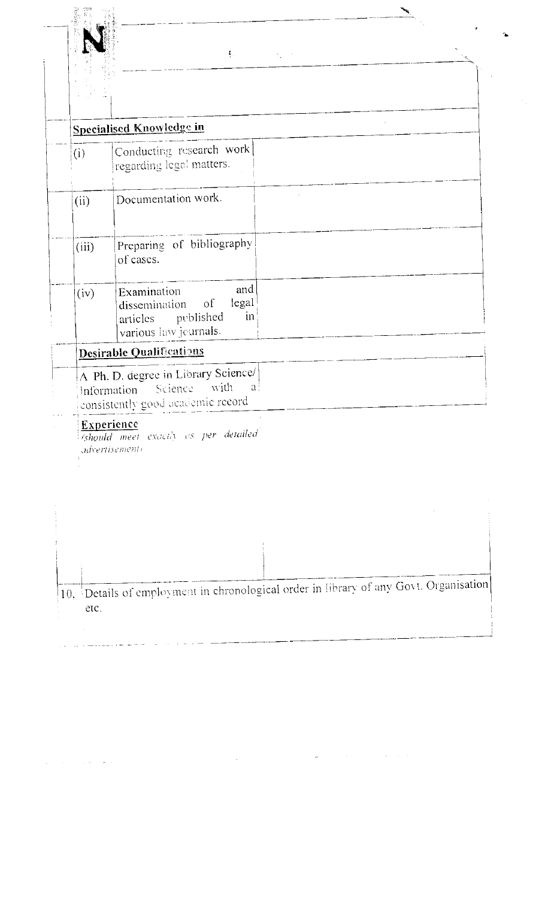|   |   | ŝ |
|---|---|---|
|   | ś |   |
| ÿ |   |   |
|   |   | Ĺ |
|   |   |   |
|   |   |   |
|   |   |   |
|   |   |   |
|   |   |   |
|   |   |   |
|   |   |   |
|   |   |   |

 $\frac{1}{2}$ 

 $\int_{\Omega_{\rm{eff}}}$  $\frac{1}{2} \sum_{i=1}^n \frac{1}{i!} \frac{1}{i!}$  **Contract of Contract of Society** 

 $\mathbf{A}$ 

 $\tilde{r}$ 

 $\sim 10$ 

 $\zeta$ 

|                                                                                                        | <b>Specialised Knowledge in</b>                                                                                       |  |
|--------------------------------------------------------------------------------------------------------|-----------------------------------------------------------------------------------------------------------------------|--|
| (i)                                                                                                    | Conducting research work<br>regarding legal matters.                                                                  |  |
| (ii)                                                                                                   | Documentation work.                                                                                                   |  |
| (iii)                                                                                                  | Preparing of bibliography<br>of cases.                                                                                |  |
| (iv)                                                                                                   | and<br>Examination<br>legal<br>dissemination of<br>$\operatorname{in}$<br>articles published<br>various law jeurnals. |  |
|                                                                                                        | Desirable Qualifications                                                                                              |  |
| A Ph. D. degree in Library Science/<br>Information Science with a<br>consistently good academic record |                                                                                                                       |  |

 $\label{eq:2.1} \frac{1}{2}\left(1-\frac{1}{2}\right)\left(\frac{1}{2}\left(1-\frac{1}{2}\right)\right)\left(\frac{1}{2}\left(1-\frac{1}{2}\right)\right)\left(\frac{1}{2}\left(1-\frac{1}{2}\right)\right)$ 

Experience<br>
Should meet exactly as per detailed

| $\left 10, \frac{1}{2}\right $ Details of employment in chronological order in library of any Govt. Organisation |
|------------------------------------------------------------------------------------------------------------------|
|                                                                                                                  |
|                                                                                                                  |
|                                                                                                                  |
| etc.                                                                                                             |
|                                                                                                                  |
|                                                                                                                  |

 $\mathcal{A}$ 

 $\label{eq:2.1} \frac{d\mathbf{u}}{d\mathbf{u}} = \frac{1}{2} \left[ \frac{d\mathbf{u}}{d\mathbf{u}} \right] \left[ \frac{d\mathbf{u}}{d\mathbf{u}} \right] \left[ \frac{d\mathbf{u}}{d\mathbf{u}} \right] \left[ \frac{d\mathbf{u}}{d\mathbf{u}} \right] \left[ \frac{d\mathbf{u}}{d\mathbf{u}} \right] \left[ \frac{d\mathbf{u}}{d\mathbf{u}} \right] \left[ \frac{d\mathbf{u}}{d\mathbf{u}} \right] \left[ \frac{d\mathbf{u}}{d\math$